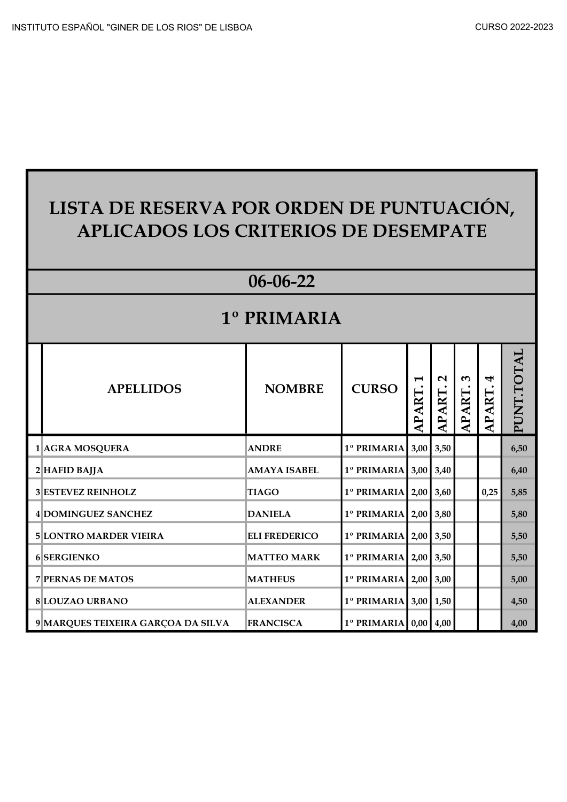| LISTA DE RESERVA POR ORDEN DE PUNTUACIÓN,<br><b>APLICADOS LOS CRITERIOS DE DESEMPATE</b> |                      |                                |              |                             |                   |                   |                   |  |
|------------------------------------------------------------------------------------------|----------------------|--------------------------------|--------------|-----------------------------|-------------------|-------------------|-------------------|--|
|                                                                                          | $06 - 06 - 22$       |                                |              |                             |                   |                   |                   |  |
|                                                                                          | <b>1º PRIMARIA</b>   |                                |              |                             |                   |                   |                   |  |
| <b>APELLIDOS</b>                                                                         | <b>NOMBRE</b>        | <b>CURSO</b>                   | <b>APART</b> | $\mathbf{\Omega}$<br>APART. | w<br><b>APART</b> | ₩<br><b>APART</b> | <b>PUNT.TOTAL</b> |  |
| 1 AGRA MOSQUERA                                                                          | <b>ANDRE</b>         | 1º PRIMARIA                    |              | $3,00$ 3,50                 |                   |                   | 6,50              |  |
| $2$ <b>HAFID BAJJA</b>                                                                   | <b>AMAYA ISABEL</b>  | 1º PRIMARIA 3,00 3,40          |              |                             |                   |                   | 6,40              |  |
| 3 ESTEVEZ REINHOLZ                                                                       | <b>TIAGO</b>         | $1^\circ$ PRIMARIA 2,00 3,60   |              |                             |                   | 0,25              | 5,85              |  |
| 4 DOMINGUEZ SANCHEZ                                                                      | <b>DANIELA</b>       | 1º PRIMARIA   2,00   3,80      |              |                             |                   |                   | 5,80              |  |
| <b>5 LONTRO MARDER VIEIRA</b>                                                            | <b>ELI FREDERICO</b> | 1º PRIMARIA   2,00   3,50      |              |                             |                   |                   | 5,50              |  |
| 6 SERGIENKO                                                                              | <b>MATTEO MARK</b>   | 1º PRIMARIA   2,00   3,50      |              |                             |                   |                   | 5,50              |  |
| <b>7 PERNAS DE MATOS</b>                                                                 | <b>MATHEUS</b>       | 1º PRIMARIA                    |              | $2,00$ 3,00                 |                   |                   | 5,00              |  |
| 8 LOUZAO URBANO                                                                          | <b>ALEXANDER</b>     | $1^{\circ}$ PRIMARIA 3,00 1,50 |              |                             |                   |                   | 4,50              |  |
| 9 MARQUES TEIXEIRA GARÇOA DA SILVA                                                       | <b>FRANCISCA</b>     | $1^\circ$ PRIMARIA 0,00 4,00   |              |                             |                   |                   | 4,00              |  |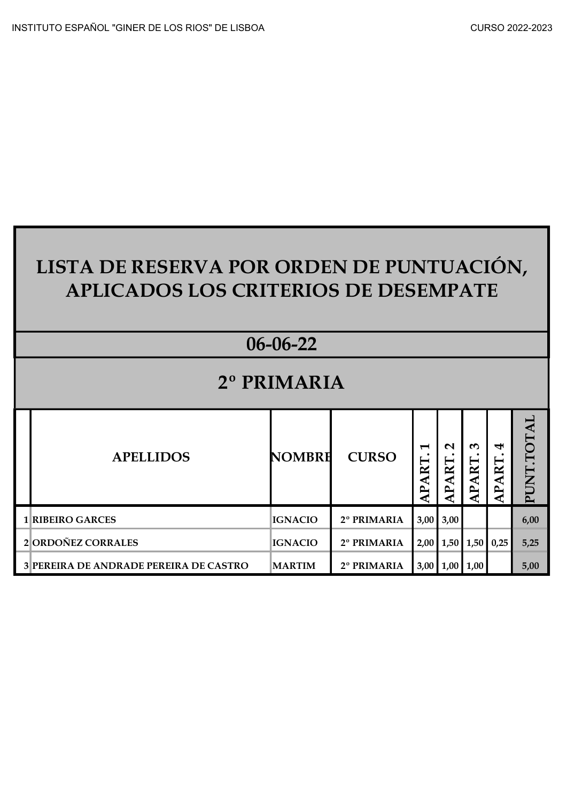| LISTA DE RESERVA POR ORDEN DE PUNTUACIÓN,<br><b>APLICADOS LOS CRITERIOS DE DESEMPATE</b> |                |              |                                                          |                                        |                             |                           |            |  |
|------------------------------------------------------------------------------------------|----------------|--------------|----------------------------------------------------------|----------------------------------------|-----------------------------|---------------------------|------------|--|
|                                                                                          | $06 - 06 - 22$ |              |                                                          |                                        |                             |                           |            |  |
|                                                                                          | 2º PRIMARIA    |              |                                                          |                                        |                             |                           |            |  |
| <b>APELLIDOS</b>                                                                         | <b>NOMBRH</b>  | <b>CURSO</b> | $\blacktriangleright$<br>ART.<br>$\overline{\mathbf{A}}$ | $\mathbf{\Omega}$<br><b>ART</b><br>AP. | $\omega$<br><b>PART.</b>    | 4<br>'ART<br>$\mathbf{P}$ | PUNT.TOTAL |  |
| <b>1 RIBEIRO GARCES</b>                                                                  | <b>IGNACIO</b> | 2º PRIMARIA  |                                                          | $3,00$ 3,00                            |                             |                           | 6,00       |  |
| 2 ORDOÑEZ CORRALES                                                                       | <b>IGNACIO</b> | 2º PRIMARIA  |                                                          |                                        | $2,00$   1,50   1,50   0,25 |                           | 5,25       |  |
| 3 PEREIRA DE ANDRADE PEREIRA DE CASTRO                                                   | <b>MARTIM</b>  | 2º PRIMARIA  |                                                          |                                        | $3,00$ 1,00 1,00            |                           | 5,00       |  |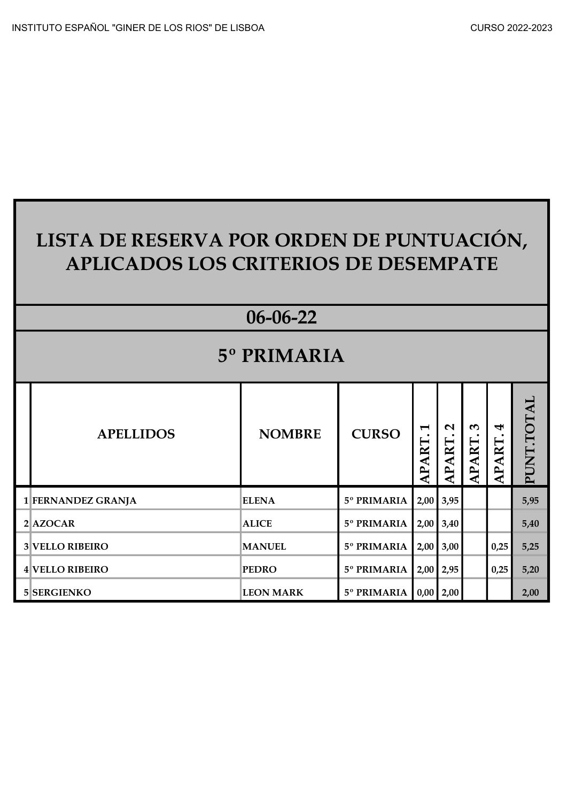| CURSO 2022-2023 |  |  |  |
|-----------------|--|--|--|
|-----------------|--|--|--|

| LISTA DE RESERVA POR ORDEN DE PUNTUACIÓN,<br><b>APLICADOS LOS CRITERIOS DE DESEMPATE</b> |                        |                  |                           |                                      |                                    |                      |                                 |            |  |  |
|------------------------------------------------------------------------------------------|------------------------|------------------|---------------------------|--------------------------------------|------------------------------------|----------------------|---------------------------------|------------|--|--|
| 06-06-22                                                                                 |                        |                  |                           |                                      |                                    |                      |                                 |            |  |  |
| 5° PRIMARIA                                                                              |                        |                  |                           |                                      |                                    |                      |                                 |            |  |  |
|                                                                                          | <b>APELLIDOS</b>       | <b>NOMBRE</b>    | <b>CURSO</b>              | $\blacktriangleright$<br>ART.<br>AP. | $\mathbf{\Omega}$<br><b>APART.</b> | $\epsilon$<br>APART. | 4<br><b>ART</b><br>$\mathbf{A}$ | PUNT.TOTAL |  |  |
|                                                                                          | 1 FERNANDEZ GRANJA     | <b>ELENA</b>     | 5° PRIMARIA               |                                      | $2,00$ 3,95                        |                      |                                 | 5,95       |  |  |
|                                                                                          | $2$ AZOCAR             | <b>ALICE</b>     | 5° PRIMARIA               |                                      | $2,00$ 3,40                        |                      |                                 | 5,40       |  |  |
|                                                                                          | <b>3 VELLO RIBEIRO</b> | <b>MANUEL</b>    | 5° PRIMARIA               |                                      | $2,00$ 3,00                        |                      | 0,25                            | 5,25       |  |  |
|                                                                                          | 4 VELLO RIBEIRO        | <b>PEDRO</b>     | 5° PRIMARIA   2,00   2,95 |                                      |                                    |                      | 0,25                            | 5,20       |  |  |
|                                                                                          | 5 SERGIENKO            | <b>LEON MARK</b> | 5° PRIMARIA   0,00   2,00 |                                      |                                    |                      |                                 | 2,00       |  |  |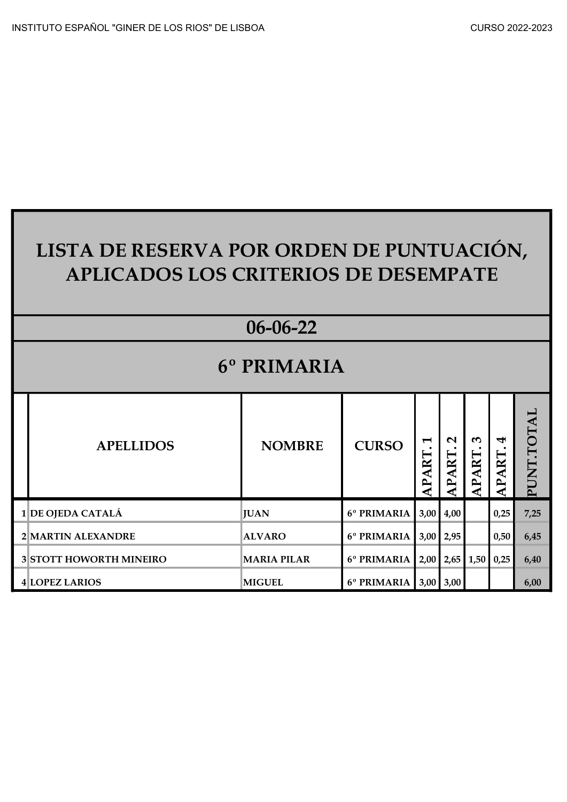| LISTA DE RESERVA POR ORDEN DE PUNTUACIÓN,   |  |
|---------------------------------------------|--|
| <b>APLICADOS LOS CRITERIOS DE DESEMPATE</b> |  |
|                                             |  |

|             |                         | $06 - 06 - 22$     |                           |                                                   |                                                 |                     |                                 |            |  |  |
|-------------|-------------------------|--------------------|---------------------------|---------------------------------------------------|-------------------------------------------------|---------------------|---------------------------------|------------|--|--|
| 6° PRIMARIA |                         |                    |                           |                                                   |                                                 |                     |                                 |            |  |  |
|             | <b>APELLIDOS</b>        | <b>NOMBRE</b>      | <b>CURSO</b>              | $\blacktriangleright$<br>$R_{\rm I}$<br><b>AP</b> | $\mathbf{\Omega}$<br>APART.                     | $\epsilon$<br>APART | 4<br><b>ART</b><br>$\mathbf{H}$ | PUNT.TOTAL |  |  |
|             | $1$ DE OJEDA CATALÁ     | <b>JUAN</b>        | 6° PRIMARIA               |                                                   | $3,00$ 4,00                                     |                     | 0,25                            | 7,25       |  |  |
|             | 2 MARTIN ALEXANDRE      | <b>ALVARO</b>      | 6° PRIMARIA               |                                                   | $3,00$   2,95                                   |                     | 0,50                            | 6,45       |  |  |
|             | 3 STOTT HOWORTH MINEIRO | <b>MARIA PILAR</b> | 6 <sup>°</sup> PRIMARIA   |                                                   | $\mid$ 2,00 $\mid$ 2,65 $\mid$ 1,50 $\mid$ 0,25 |                     |                                 | 6,40       |  |  |
|             | 4 LOPEZ LARIOS          | <b>MIGUEL</b>      | 6° PRIMARIA   3,00   3,00 |                                                   |                                                 |                     |                                 | 6,00       |  |  |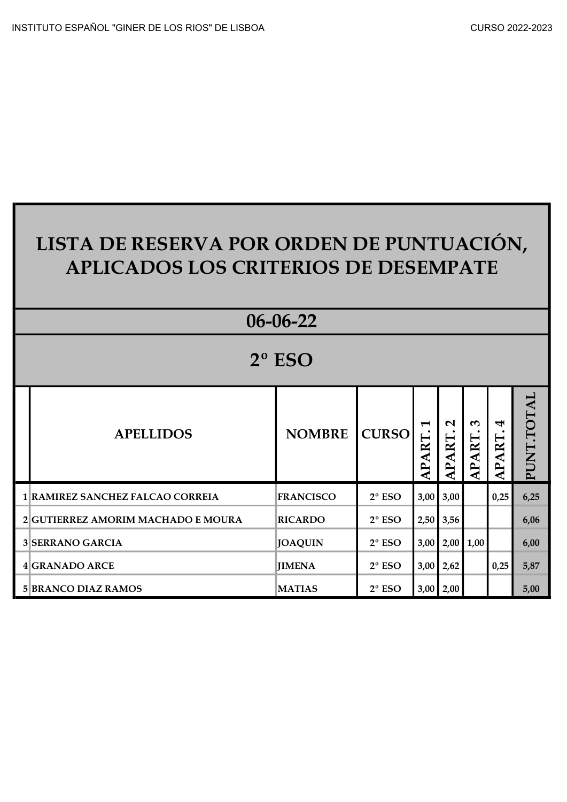|                 | LISTA DE RESERVA POR ORDEN DE PUNTUACIÓN,<br><b>APLICADOS LOS CRITERIOS DE DESEMPATE</b> |                  |                 |                                |                             |                                       |                                 |            |  |
|-----------------|------------------------------------------------------------------------------------------|------------------|-----------------|--------------------------------|-----------------------------|---------------------------------------|---------------------------------|------------|--|
|                 |                                                                                          | $06 - 06 - 22$   |                 |                                |                             |                                       |                                 |            |  |
| $2^{\circ}$ ESO |                                                                                          |                  |                 |                                |                             |                                       |                                 |            |  |
|                 | <b>APELLIDOS</b>                                                                         | <b>NOMBRE</b>    | <b>CURSO</b>    | $\blacktriangleright$<br>APART | $\mathbf{\Omega}$<br>APART. | $\boldsymbol{\omega}$<br><b>APART</b> | 4<br><b>ART</b><br>$\mathbf{P}$ | PUNT.TOTAL |  |
|                 | 1 RAMIREZ SANCHEZ FALCAO CORREIA                                                         | <b>FRANCISCO</b> | $2°$ ESO        |                                | $3,00$ $3,00$               |                                       | 0,25                            | 6,25       |  |
|                 | 2 GUTIERREZ AMORIM MACHADO E MOURA                                                       | <b>RICARDO</b>   | $2^{\circ}$ ESO |                                | $2,50$ 3,56                 |                                       |                                 | 6,06       |  |
|                 | <b>3 SERRANO GARCIA</b>                                                                  | <b>JOAQUIN</b>   | $2°$ ESO        |                                | $3,00$ $2,00$ $1,00$        |                                       |                                 | 6,00       |  |
|                 | <b>4 GRANADO ARCE</b>                                                                    | <b>JIMENA</b>    | $2^{\circ}$ ESO |                                | $3,00$   2,62               |                                       | 0,25                            | 5,87       |  |
|                 | <b>5 BRANCO DIAZ RAMOS</b>                                                               | <b>MATIAS</b>    | $2^{\circ}$ ESO |                                | $3,00$ 2,00                 |                                       |                                 | 5,00       |  |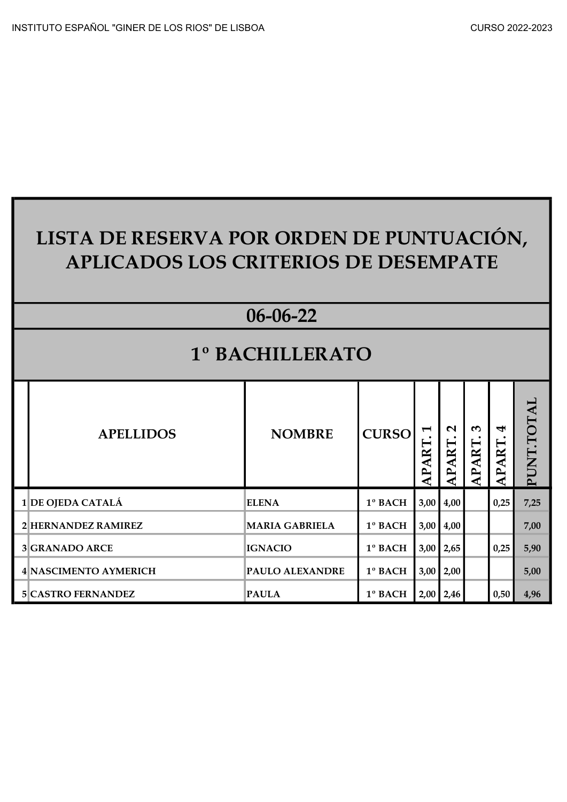| CURSO 2022-2023 |  |  |  |
|-----------------|--|--|--|
|-----------------|--|--|--|

## LISTA DE RESERVA POR ORDEN DE PUNTUACIÓN, APLICADOS LOS CRITERIOS DE DESEMPATE

## 06-06-22

## 1º BACHILLERATO

| <b>APELLIDOS</b>      | <b>NOMBRE</b>          | <b>CURSO</b> | $\blacktriangleright$<br>⊨<br>≃<br>₹<br>$\mathbf{r}$ | $\mathbf{\Omega}$<br>APART | $\omega$<br>ART<br>⊢ | 4<br><b>ART</b><br>$\mathbf{p}$ | $\mathbf{\overline{A}}$<br>TOT.<br><b>PUNT</b> |
|-----------------------|------------------------|--------------|------------------------------------------------------|----------------------------|----------------------|---------------------------------|------------------------------------------------|
| 1 DE OJEDA CATALÁ     | <b>ELENA</b>           | 1º BACH      |                                                      | $3,00$ 4,00                |                      | 0,25                            | 7,25                                           |
| 2 HERNANDEZ RAMIREZ   | <b>MARIA GABRIELA</b>  | 1º BACH      |                                                      | $3,00$ 4,00                |                      |                                 | 7,00                                           |
| <b>3</b> GRANADO ARCE | <b>IGNACIO</b>         | 1º BACH      |                                                      | $3,00$   2,65              |                      | 0,25                            | 5,90                                           |
| 4 NASCIMENTO AYMERICH | <b>PAULO ALEXANDRE</b> | 1º BACH      |                                                      | $3,00$   2,00              |                      |                                 | 5,00                                           |
|                       |                        |              |                                                      |                            | $2,00$ 2,46          | 0,50                            | 4,96                                           |